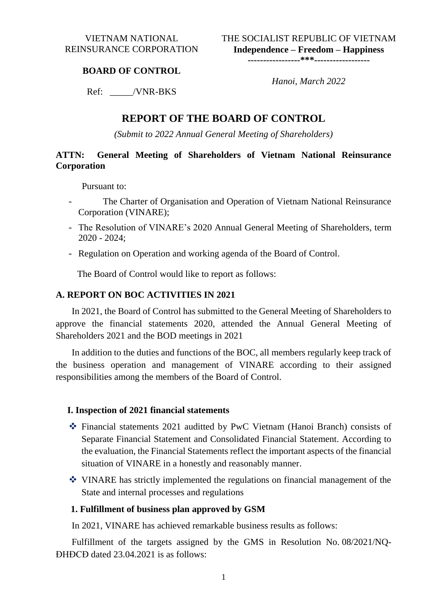THE SOCIALIST REPUBLIC OF VIETNAM **Independence – Freedom – Happiness**

**-----------------\*\*\*------------------**

#### **BOARD OF CONTROL**

 *Hanoi, March 2022*

Ref: \_\_\_\_\_/VNR-BKS

## **REPORT OF THE BOARD OF CONTROL**

*(Submit to 2022 Annual General Meeting of Shareholders)*

### **ATTN: General Meeting of Shareholders of Vietnam National Reinsurance Corporation**

Pursuant to:

- The Charter of Organisation and Operation of Vietnam National Reinsurance Corporation (VINARE);
- The Resolution of VINARE's 2020 Annual General Meeting of Shareholders, term 2020 - 2024;
- Regulation on Operation and working agenda of the Board of Control.

The Board of Control would like to report as follows:

#### **A. REPORT ON BOC ACTIVITIES IN 2021**

 In 2021, the Board of Control has submitted to the General Meeting of Shareholders to approve the financial statements 2020, attended the Annual General Meeting of Shareholders 2021 and the BOD meetings in 2021

In addition to the duties and functions of the BOC, all members regularly keep track of the business operation and management of VINARE according to their assigned responsibilities among the members of the Board of Control.

#### **I. Inspection of 2021 financial statements**

- Financial statements 2021 auditted by PwC Vietnam (Hanoi Branch) consists of Separate Financial Statement and Consolidated Financial Statement. According to the evaluation, the Financial Statements reflect the important aspects of the financial situation of VINARE in a honestly and reasonably manner.
- VINARE has strictly implemented the regulations on financial management of the State and internal processes and regulations

#### **1. Fulfillment of business plan approved by GSM**

In 2021, VINARE has achieved remarkable business results as follows:

Fulfillment of the targets assigned by the GMS in Resolution No. 08/2021/NQ-ĐHĐCĐ dated 23.04.2021 is as follows: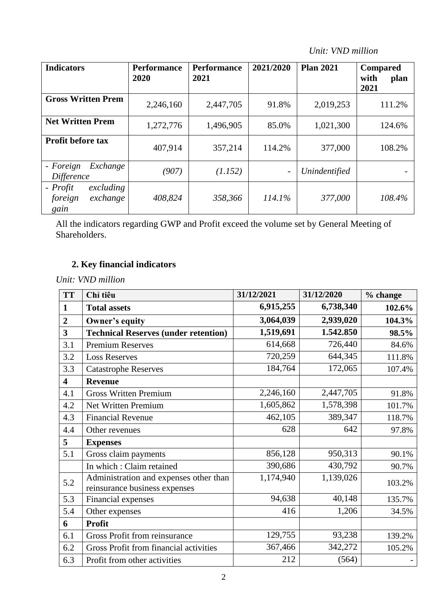*Unit: VND million*

| <b>Indicators</b>                                    | <b>Performance</b><br>2020 | <b>Performance</b><br>2021 | 2021/2020                | <b>Plan 2021</b> | <b>Compared</b><br>with<br>plan<br>2021 |
|------------------------------------------------------|----------------------------|----------------------------|--------------------------|------------------|-----------------------------------------|
| <b>Gross Written Prem</b>                            | 2,246,160                  | 2,447,705                  | 91.8%                    | 2,019,253        | 111.2%                                  |
| <b>Net Written Prem</b>                              | 1,272,776                  | 1,496,905                  | 85.0%                    | 1,021,300        | 124.6%                                  |
| <b>Profit before tax</b>                             | 407,914                    | 357,214                    | 114.2%                   | 377,000          | 108.2%                                  |
| - Foreign<br>Exchange<br>Difference                  | (907)                      | (1.152)                    | $\overline{\phantom{a}}$ | Unindentified    |                                         |
| - Profit<br>excluding<br>foreign<br>exchange<br>gain | 408,824                    | 358,366                    | $114.1\%$                | 377,000          | 108.4%                                  |

All the indicators regarding GWP and Profit exceed the volume set by General Meeting of Shareholders.

# **2. Key financial indicators**

*Unit: VND million*

| <b>TT</b>               | Chỉ tiêu                                                                | 31/12/2021 | 31/12/2020 | % change |
|-------------------------|-------------------------------------------------------------------------|------------|------------|----------|
| 1                       | <b>Total assets</b>                                                     | 6,915,255  | 6,738,340  | 102.6%   |
| $\overline{2}$          | Owner's equity                                                          | 3,064,039  | 2,939,020  | 104.3%   |
| $\overline{\mathbf{3}}$ | <b>Technical Reserves (under retention)</b>                             | 1,519,691  | 1.542.850  | 98.5%    |
| 3.1                     | <b>Premium Reserves</b>                                                 | 614,668    | 726,440    | 84.6%    |
| 3.2                     | <b>Loss Reserves</b>                                                    | 720,259    | 644,345    | 111.8%   |
| 3.3                     | <b>Catastrophe Reserves</b>                                             | 184,764    | 172,065    | 107.4%   |
| $\overline{\mathbf{4}}$ | <b>Revenue</b>                                                          |            |            |          |
| 4.1                     | <b>Gross Written Premium</b>                                            | 2,246,160  | 2,447,705  | 91.8%    |
| 4.2                     | Net Written Premium                                                     | 1,605,862  | 1,578,398  | 101.7%   |
| 4.3                     | <b>Financial Revenue</b>                                                | 462,105    | 389,347    | 118.7%   |
| 4.4                     | Other revenues                                                          | 628        | 642        | 97.8%    |
| 5                       | <b>Expenses</b>                                                         |            |            |          |
| 5.1                     | Gross claim payments                                                    | 856,128    | 950,313    | 90.1%    |
|                         | In which : Claim retained                                               | 390,686    | 430,792    | 90.7%    |
| 5.2                     | Administration and expenses other than<br>reinsurance business expenses | 1,174,940  | 1,139,026  | 103.2%   |
| 5.3                     | Financial expenses                                                      | 94,638     | 40,148     | 135.7%   |
| 5.4                     | Other expenses                                                          | 416        | 1,206      | 34.5%    |
| 6                       | <b>Profit</b>                                                           |            |            |          |
| 6.1                     | <b>Gross Profit from reinsurance</b>                                    | 129,755    | 93,238     | 139.2%   |
| 6.2                     | Gross Profit from financial activities                                  | 367,466    | 342,272    | 105.2%   |
| 6.3                     | Profit from other activities                                            | 212        | (564)      |          |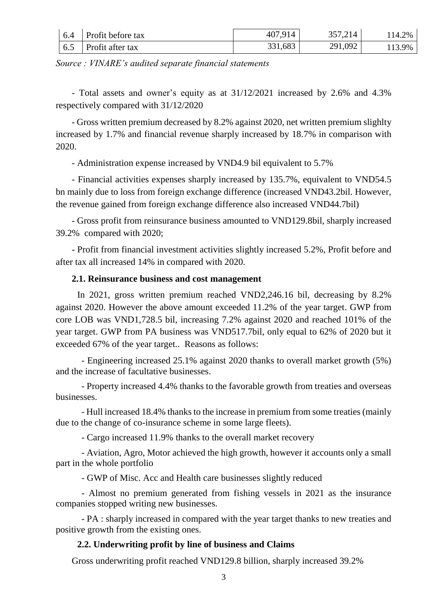| 6.4               | Profit before tax | 407,914 | 357,214 | 14.2%  |
|-------------------|-------------------|---------|---------|--------|
| $\vert 6.5 \vert$ | Profit after tax  | 331,683 | 291,092 | 113.9% |

*Source : VINARE's audited separate financial statements*

- Total assets and owner's equity as at 31/12/2021 increased by 2.6% and 4.3% respectively compared with 31/12/2020

- Gross written premium decreased by 8.2% against 2020, net written premium slighlty increased by 1.7% and financial revenue sharply increased by 18.7% in comparison with 2020.

- Administration expense increased by VND4.9 bil equivalent to 5.7%

- Financial activities expenses sharply increased by 135.7%, equivalent to VND54.5 bn mainly due to loss from foreign exchange difference (increased VND43.2bil. However, the revenue gained from foreign exchange difference also increased VND44.7bil)

- Gross profit from reinsurance business amounted to VND129.8bil, sharply increased 39.2% compared with 2020;

- Profit from financial investment activities slightly increased 5.2%, Profit before and after tax all increased 14% in compared with 2020.

### **2.1. Reinsurance business and cost management**

In 2021, gross written premium reached VND2,246.16 bil, decreasing by 8.2% against 2020. However the above amount exceeded 11.2% of the year target. GWP from core LOB was VND1,728.5 bil, increasing 7.2% against 2020 and reached 101% of the year target. GWP from PA business was VND517.7bil, only equal to 62% of 2020 but it exceeded 67% of the year target.. Reasons as follows:

- Engineering increased 25.1% against 2020 thanks to overall market growth (5%) and the increase of facultative businesses.

- Property increased 4.4% thanks to the favorable growth from treaties and overseas businesses.

- Hull increased 18.4% thanks to the increase in premium from some treaties (mainly due to the change of co-insurance scheme in some large fleets).

- Cargo increased 11.9% thanks to the overall market recovery

- Aviation, Agro, Motor achieved the high growth, however it accounts only a small part in the whole portfolio

- GWP of Misc. Acc and Health care businesses slightly reduced

- Almost no premium generated from fishing vessels in 2021 as the insurance companies stopped writing new businesses.

- PA : sharply increased in compared with the year target thanks to new treaties and positive growth from the existing ones.

## **2.2. Underwriting profit by line of business and Claims**

Gross underwriting profit reached VND129.8 billion, sharply increased 39.2%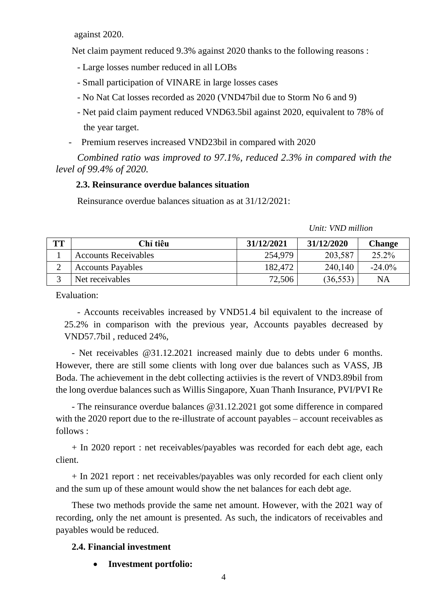against 2020.

Net claim payment reduced 9.3% against 2020 thanks to the following reasons :

- Large losses number reduced in all LOBs
- Small participation of VINARE in large losses cases
- No Nat Cat losses recorded as 2020 (VND47bil due to Storm No 6 and 9)
- Net paid claim payment reduced VND63.5bil against 2020, equivalent to 78% of the year target.
- Premium reserves increased VND23bil in compared with 2020

*Combined ratio was improved to 97.1%, reduced 2.3% in compared with the level of 99.4% of 2020.* 

#### **2.3. Reinsurance overdue balances situation**

Reinsurance overdue balances situation as at 31/12/2021:

| TТ     | Chỉ tiêu                    | 31/12/2021 | 31/12/2020 | Change    |
|--------|-----------------------------|------------|------------|-----------|
|        | <b>Accounts Receivables</b> | 254,979    | 203,587    | 25.2%     |
| ⌒<br>∠ | <b>Accounts Payables</b>    | 182,472    | 240,140    | $-24.0\%$ |
| ⌒      | Net receivables             | 72,506     | (36, 553)  | NA        |

#### *Unit: VND million*

Evaluation:

- Accounts receivables increased by VND51.4 bil equivalent to the increase of 25.2% in comparison with the previous year, Accounts payables decreased by VND57.7bil , reduced 24%,

- Net receivables @31.12.2021 increased mainly due to debts under 6 months. However, there are still some clients with long over due balances such as VASS, JB Boda. The achievement in the debt collecting actiivies is the revert of VND3.89bil from the long overdue balances such as Willis Singapore, Xuan Thanh Insurance, PVI/PVI Re

- The reinsurance overdue balances @31.12.2021 got some difference in compared with the 2020 report due to the re-illustrate of account payables – account receivables as follows :

+ In 2020 report : net receivables/payables was recorded for each debt age, each client.

+ In 2021 report : net receivables/payables was only recorded for each client only and the sum up of these amount would show the net balances for each debt age.

These two methods provide the same net amount. However, with the 2021 way of recording, only the net amount is presented. As such, the indicators of receivables and payables would be reduced.

#### **2.4. Financial investment**

**Investment portfolio:**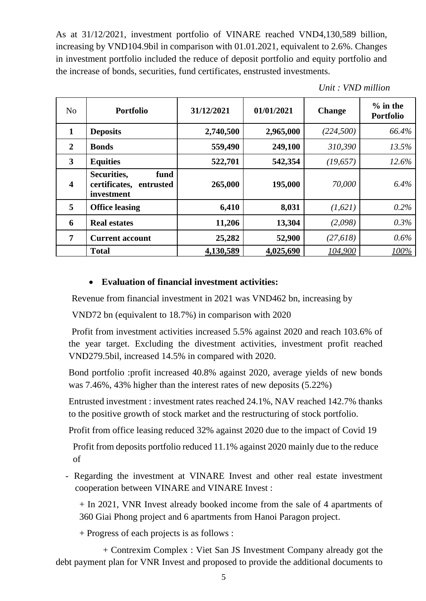As at 31/12/2021, investment portfolio of VINARE reached VND4,130,589 billion, increasing by VND104.9bil in comparison with 01.01.2021, equivalent to 2.6%. Changes in investment portfolio included the reduce of deposit portfolio and equity portfolio and the increase of bonds, securities, fund certificates, enstrusted investments.

|  |  | Unit: VND million |
|--|--|-------------------|
|--|--|-------------------|

| No                      | <b>Portfolio</b>                                                | 31/12/2021 | 01/01/2021 | <b>Change</b> | $%$ in the<br><b>Portfolio</b> |
|-------------------------|-----------------------------------------------------------------|------------|------------|---------------|--------------------------------|
| $\mathbf{1}$            | <b>Deposits</b>                                                 | 2,740,500  | 2,965,000  | (224, 500)    | 66.4%                          |
| $\overline{2}$          | <b>Bonds</b>                                                    | 559,490    | 249,100    | 310,390       | 13.5%                          |
| $\overline{\mathbf{3}}$ | <b>Equities</b>                                                 | 522,701    | 542,354    | (19, 657)     | 12.6%                          |
| $\overline{\mathbf{4}}$ | Securities,<br>fund<br>certificates,<br>entrusted<br>investment | 265,000    | 195,000    | 70,000        | 6.4%                           |
| 5                       | <b>Office leasing</b>                                           | 6,410      | 8,031      | (1,621)       | 0.2%                           |
| 6                       | <b>Real estates</b>                                             | 11,206     | 13,304     | (2,098)       | 0.3%                           |
| 7                       | <b>Current account</b>                                          | 25,282     | 52,900     | (27, 618)     | $0.6\%$                        |
|                         | <b>Total</b>                                                    | 4,130,589  | 4,025,690  | 104,900       | 100%                           |

### **Evaluation of financial investment activities:**

Revenue from financial investment in 2021 was VND462 bn, increasing by

VND72 bn (equivalent to 18.7%) in comparison with 2020

Profit from investment activities increased 5.5% against 2020 and reach 103.6% of the year target. Excluding the divestment activities, investment profit reached VND279.5bil, increased 14.5% in compared with 2020.

Bond portfolio :profit increased 40.8% against 2020, average yields of new bonds was 7.46%, 43% higher than the interest rates of new deposits (5.22%)

Entrusted investment : investment rates reached 24.1%, NAV reached 142.7% thanks to the positive growth of stock market and the restructuring of stock portfolio.

Profit from office leasing reduced 32% against 2020 due to the impact of Covid 19

Profit from deposits portfolio reduced 11.1% against 2020 mainly due to the reduce of

- Regarding the investment at VINARE Invest and other real estate investment cooperation between VINARE and VINARE Invest :

+ In 2021, VNR Invest already booked income from the sale of 4 apartments of 360 Giai Phong project and 6 apartments from Hanoi Paragon project.

+ Progress of each projects is as follows :

+ Contrexim Complex : Viet San JS Investment Company already got the debt payment plan for VNR Invest and proposed to provide the additional documents to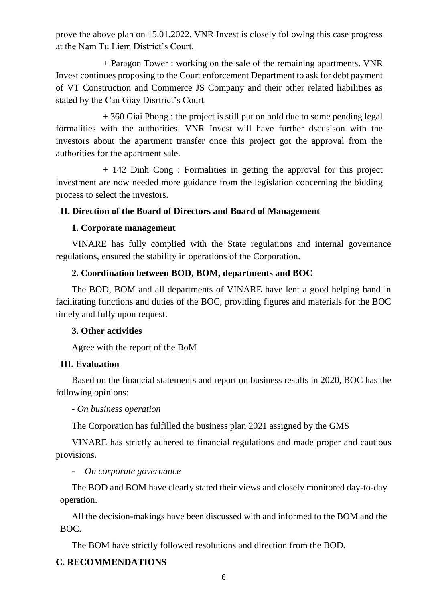prove the above plan on 15.01.2022. VNR Invest is closely following this case progress at the Nam Tu Liem District's Court.

+ Paragon Tower : working on the sale of the remaining apartments. VNR Invest continues proposing to the Court enforcement Department to ask for debt payment of VT Construction and Commerce JS Company and their other related liabilities as stated by the Cau Giay Disrtrict's Court.

+ 360 Giai Phong : the project is still put on hold due to some pending legal formalities with the authorities. VNR Invest will have further dscusison with the investors about the apartment transfer once this project got the approval from the authorities for the apartment sale.

+ 142 Dinh Cong : Formalities in getting the approval for this project investment are now needed more guidance from the legislation concerning the bidding process to select the investors.

## **II. Direction of the Board of Directors and Board of Management**

## **1. Corporate management**

VINARE has fully complied with the State regulations and internal governance regulations, ensured the stability in operations of the Corporation.

## **2. Coordination between BOD, BOM, departments and BOC**

The BOD, BOM and all departments of VINARE have lent a good helping hand in facilitating functions and duties of the BOC, providing figures and materials for the BOC timely and fully upon request.

## **3. Other activities**

Agree with the report of the BoM

## **III. Evaluation**

Based on the financial statements and report on business results in 2020, BOC has the following opinions:

#### *- On business operation*

The Corporation has fulfilled the business plan 2021 assigned by the GMS

 VINARE has strictly adhered to financial regulations and made proper and cautious provisions.

#### **-** *On corporate governance*

The BOD and BOM have clearly stated their views and closely monitored day-to-day operation.

All the decision-makings have been discussed with and informed to the BOM and the BOC.

The BOM have strictly followed resolutions and direction from the BOD.

## **C. RECOMMENDATIONS**